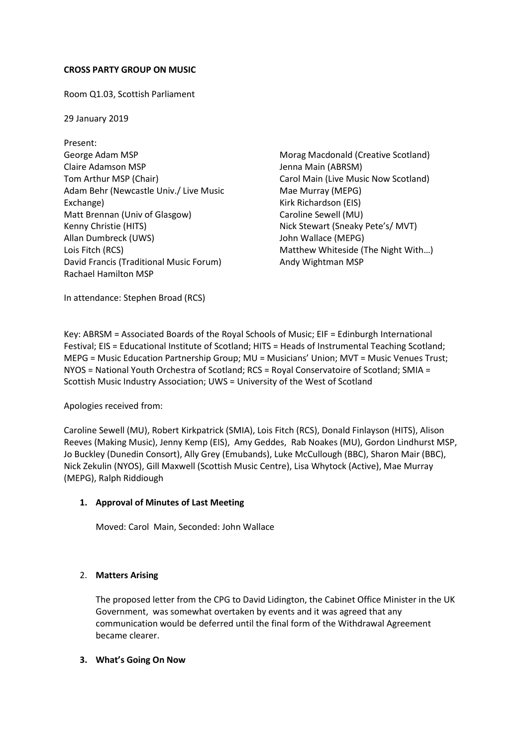## **CROSS PARTY GROUP ON MUSIC**

Room Q1.03, Scottish Parliament

29 January 2019

Present: George Adam MSP Claire Adamson MSP Tom Arthur MSP (Chair) Adam Behr (Newcastle Univ./ Live Music Exchange) Matt Brennan (Univ of Glasgow) Kenny Christie (HITS) Allan Dumbreck (UWS) Lois Fitch (RCS) David Francis (Traditional Music Forum) Rachael Hamilton MSP

Morag Macdonald (Creative Scotland) Jenna Main (ABRSM) Carol Main (Live Music Now Scotland) Mae Murray (MEPG) Kirk Richardson (EIS) Caroline Sewell (MU) Nick Stewart (Sneaky Pete's/ MVT) John Wallace (MEPG) Matthew Whiteside (The Night With…) Andy Wightman MSP

In attendance: Stephen Broad (RCS)

Key: ABRSM = Associated Boards of the Royal Schools of Music; EIF = Edinburgh International Festival; EIS = Educational Institute of Scotland; HITS = Heads of Instrumental Teaching Scotland; MEPG = Music Education Partnership Group; MU = Musicians' Union; MVT = Music Venues Trust; NYOS = National Youth Orchestra of Scotland; RCS = Royal Conservatoire of Scotland; SMIA = Scottish Music Industry Association; UWS = University of the West of Scotland

Apologies received from:

Caroline Sewell (MU), Robert Kirkpatrick (SMIA), Lois Fitch (RCS), Donald Finlayson (HITS), Alison Reeves (Making Music), Jenny Kemp (EIS), Amy Geddes, Rab Noakes (MU), Gordon Lindhurst MSP, Jo Buckley (Dunedin Consort), Ally Grey (Emubands), Luke McCullough (BBC), Sharon Mair (BBC), Nick Zekulin (NYOS), Gill Maxwell (Scottish Music Centre), Lisa Whytock (Active), Mae Murray (MEPG), Ralph Riddiough

## **1. Approval of Minutes of Last Meeting**

Moved: Carol Main, Seconded: John Wallace

## 2. **Matters Arising**

The proposed letter from the CPG to David Lidington, the Cabinet Office Minister in the UK Government, was somewhat overtaken by events and it was agreed that any communication would be deferred until the final form of the Withdrawal Agreement became clearer.

## **3. What's Going On Now**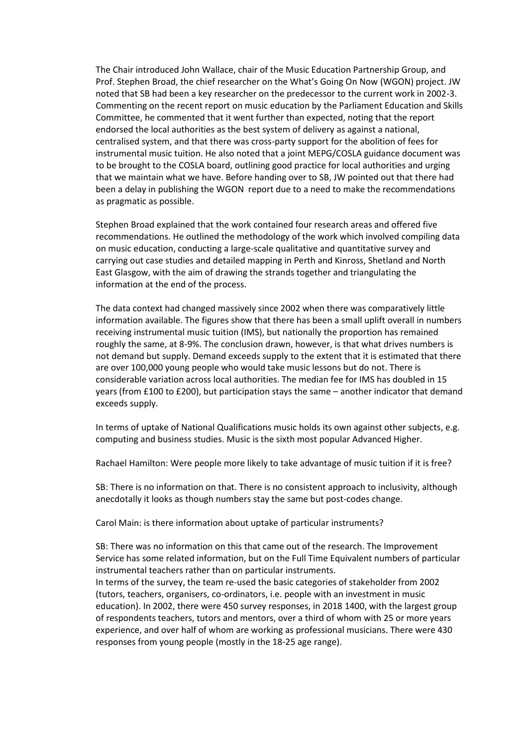The Chair introduced John Wallace, chair of the Music Education Partnership Group, and Prof. Stephen Broad, the chief researcher on the What's Going On Now (WGON) project. JW noted that SB had been a key researcher on the predecessor to the current work in 2002-3. Commenting on the recent report on music education by the Parliament Education and Skills Committee, he commented that it went further than expected, noting that the report endorsed the local authorities as the best system of delivery as against a national, centralised system, and that there was cross-party support for the abolition of fees for instrumental music tuition. He also noted that a joint MEPG/COSLA guidance document was to be brought to the COSLA board, outlining good practice for local authorities and urging that we maintain what we have. Before handing over to SB, JW pointed out that there had been a delay in publishing the WGON report due to a need to make the recommendations as pragmatic as possible.

Stephen Broad explained that the work contained four research areas and offered five recommendations. He outlined the methodology of the work which involved compiling data on music education, conducting a large-scale qualitative and quantitative survey and carrying out case studies and detailed mapping in Perth and Kinross, Shetland and North East Glasgow, with the aim of drawing the strands together and triangulating the information at the end of the process.

The data context had changed massively since 2002 when there was comparatively little information available. The figures show that there has been a small uplift overall in numbers receiving instrumental music tuition (IMS), but nationally the proportion has remained roughly the same, at 8-9%. The conclusion drawn, however, is that what drives numbers is not demand but supply. Demand exceeds supply to the extent that it is estimated that there are over 100,000 young people who would take music lessons but do not. There is considerable variation across local authorities. The median fee for IMS has doubled in 15 years (from £100 to £200), but participation stays the same – another indicator that demand exceeds supply.

In terms of uptake of National Qualifications music holds its own against other subjects, e.g. computing and business studies. Music is the sixth most popular Advanced Higher.

Rachael Hamilton: Were people more likely to take advantage of music tuition if it is free?

SB: There is no information on that. There is no consistent approach to inclusivity, although anecdotally it looks as though numbers stay the same but post-codes change.

Carol Main: is there information about uptake of particular instruments?

SB: There was no information on this that came out of the research. The Improvement Service has some related information, but on the Full Time Equivalent numbers of particular instrumental teachers rather than on particular instruments.

In terms of the survey, the team re-used the basic categories of stakeholder from 2002 (tutors, teachers, organisers, co-ordinators, i.e. people with an investment in music education). In 2002, there were 450 survey responses, in 2018 1400, with the largest group of respondents teachers, tutors and mentors, over a third of whom with 25 or more years experience, and over half of whom are working as professional musicians. There were 430 responses from young people (mostly in the 18-25 age range).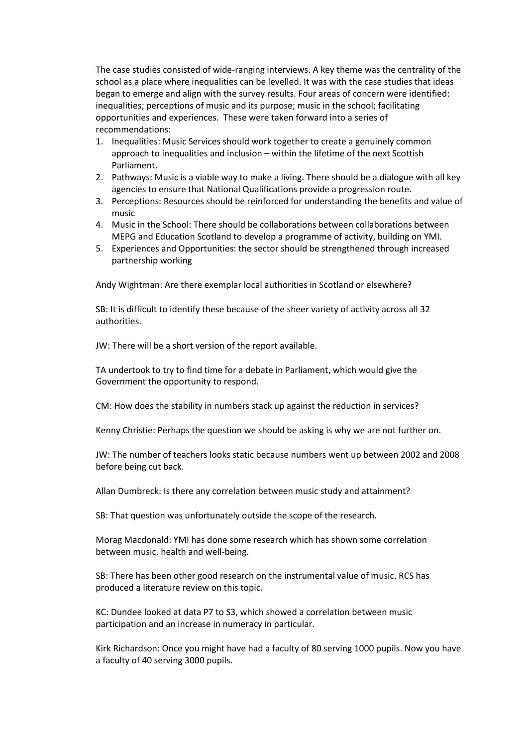The case studies consisted of wide-ranging interviews. A key theme was the centrality of the school as a place where inequalities can be levelled. It was with the case studies that ideas began to emerge and align with the survey results. Four areas of concern were identified: inequalities; perceptions of music and its purpose; music in the school; facilitating opportunities and experiences. These were taken forward into a series of recommendations:

- 1. Inequalities: Music Services should work together to create a genuinely common approach to inequalities and inclusion – within the lifetime of the next Scottish Parliament.
- 2. Pathways: Music is a viable way to make a living. There should be a dialogue with all key agencies to ensure that National Qualifications provide a progression route.
- 3. Perceptions: Resources should be reinforced for understanding the benefits and value of music
- 4. Music in the School: There should be collaborations between collaborations between MEPG and Education Scotland to develop a programme of activity, building on YMI.
- 5. Experiences and Opportunities: the sector should be strengthened through increased partnership working

Andy Wightman: Are there exemplar local authorities in Scotland or elsewhere?

SB: It is difficult to identify these because of the sheer variety of activity across all 32 authorities.

JW: There will be a short version of the report available.

TA undertook to try to find time for a debate in Parliament, which would give the Government the opportunity to respond.

CM: How does the stability in numbers stack up against the reduction in services?

Kenny Christie: Perhaps the question we should be asking is why we are not further on.

JW: The number of teachers looks static because numbers went up between 2002 and 2008 before being cut back.

Allan Dumbreck: Is there any correlation between music study and attainment?

SB: That question was unfortunately outside the scope of the research.

Morag Macdonald: YMI has done some research which has shown some correlation between music, health and well-being.

SB: There has been other good research on the instrumental value of music. RCS has produced a literature review on this topic.

KC: Dundee looked at data P7 to S3, which showed a correlation between music participation and an increase in numeracy in particular.

Kirk Richardson: Once you might have had a faculty of 80 serving 1000 pupils. Now you have a faculty of 40 serving 3000 pupils.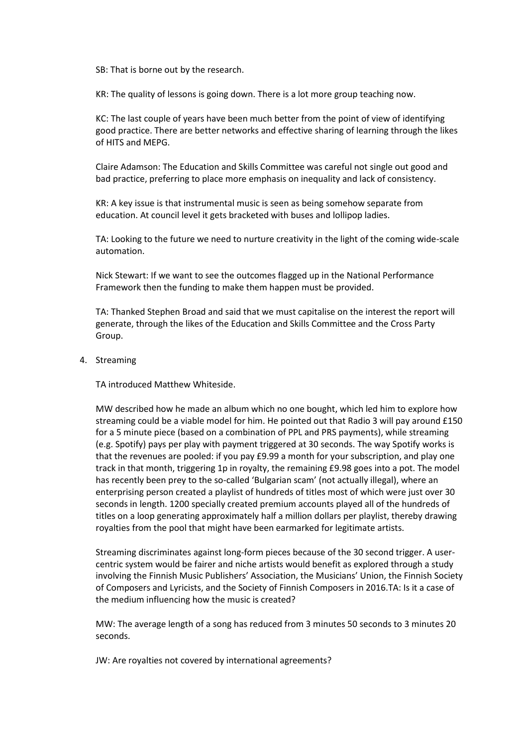SB: That is borne out by the research.

KR: The quality of lessons is going down. There is a lot more group teaching now.

KC: The last couple of years have been much better from the point of view of identifying good practice. There are better networks and effective sharing of learning through the likes of HITS and MEPG.

Claire Adamson: The Education and Skills Committee was careful not single out good and bad practice, preferring to place more emphasis on inequality and lack of consistency.

KR: A key issue is that instrumental music is seen as being somehow separate from education. At council level it gets bracketed with buses and lollipop ladies.

TA: Looking to the future we need to nurture creativity in the light of the coming wide-scale automation.

Nick Stewart: If we want to see the outcomes flagged up in the National Performance Framework then the funding to make them happen must be provided.

TA: Thanked Stephen Broad and said that we must capitalise on the interest the report will generate, through the likes of the Education and Skills Committee and the Cross Party Group.

4. Streaming

TA introduced Matthew Whiteside.

MW described how he made an album which no one bought, which led him to explore how streaming could be a viable model for him. He pointed out that Radio 3 will pay around £150 for a 5 minute piece (based on a combination of PPL and PRS payments), while streaming (e.g. Spotify) pays per play with payment triggered at 30 seconds. The way Spotify works is that the revenues are pooled: if you pay £9.99 a month for your subscription, and play one track in that month, triggering 1p in royalty, the remaining £9.98 goes into a pot. The model has recently been prey to the so-called 'Bulgarian scam' (not actually illegal), where an enterprising person created a playlist of hundreds of titles most of which were just over 30 seconds in length. 1200 specially created premium accounts played all of the hundreds of titles on a loop generating approximately half a million dollars per playlist, thereby drawing royalties from the pool that might have been earmarked for legitimate artists.

Streaming discriminates against long-form pieces because of the 30 second trigger. A usercentric system would be fairer and niche artists would benefit as explored through a study involving the Finnish Music Publishers' Association, the Musicians' Union, the Finnish Society of Composers and Lyricists, and the Society of Finnish Composers in 2016.TA: Is it a case of the medium influencing how the music is created?

MW: The average length of a song has reduced from 3 minutes 50 seconds to 3 minutes 20 seconds.

JW: Are royalties not covered by international agreements?